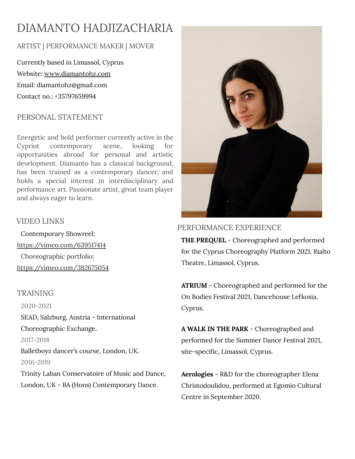# DIAMANTO HADJIZACHARIA

# ARTIST | PERFORMANCE MAKER | MOVER

Currently based in Limassol, Cyprus Website: [www.diamantohz.com](http://www.diamantohz.com) Email: [diamantohz@gmail.com](mailto:diamantohz@gmail.com) Contact no.: +35797659994

## PERSONAL STATEMENT

Energetic and bold performer currently active in the Cypriot contemporary scene, looking for opportunities abroad for personal and artistic development. Diamanto has a classical background, has been trained as a contemporary dancer, and holds a special interest in interdisciplinary and performance art. Passionate artist, great team player and always eager to learn.

## VIDEO LINKS

Contemporary Showreel: <https://vimeo.com/639517414> Choreographic portfolio: <https://vimeo.com/382675054>

## TRAINING

2020-2021 SEAD, Salzburg, Austria - International Choreographic Exchange. 2017-2018 Balletboyz dancer's course, London, UK. 2016-2019 Trinity Laban Conservatoire of Music and Dance, London, UK - BA (Hons) Contemporary Dance.



# PERFORMANCE EXPERIENCE

**THE PREQUEL** - Choreographed and performed for the Cyprus Choreography Platform 2021, Rialto Theatre, Limassol, Cyprus.

**ATRIUM** - Choreographed and performed for the On Bodies Festival 2021, Dancehouse Lefkosia, Cyprus.

**A WALK IN THE PARK** - Choreographed and performed for the Summer Dance Festival 2021, site-specific, Limassol, Cyprus.

**Aerologies** - R&D for the choreographer Elena Christodoulidou, performed at Egomio Cultural Centre in September 2020.